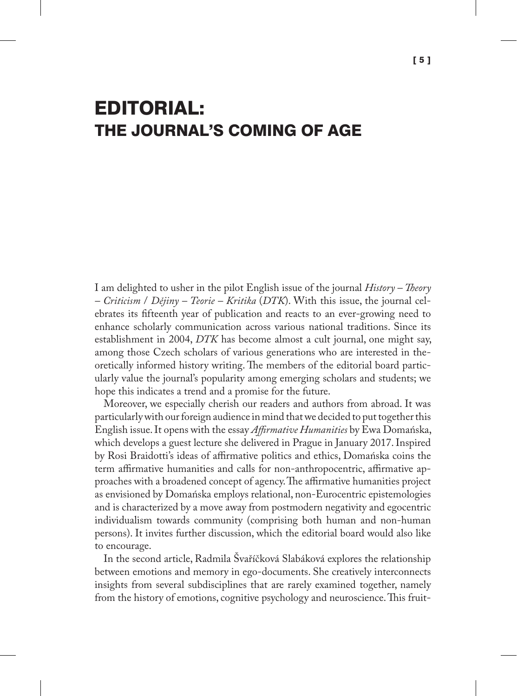## EDITORIAL: THE JOURNAL'S COMING OF AGE

I am delighted to usher in the pilot English issue of the journal *History – Theory – Criticism* / *Dějiny – Teorie – Kritika* (*DTK*). With this issue, the journal celebrates its fifteenth year of publication and reacts to an ever-growing need to enhance scholarly communication across various national traditions. Since its establishment in 2004, *DTK* has become almost a cult journal, one might say, among those Czech scholars of various generations who are interested in theoretically informed history writing. The members of the editorial board particularly value the journal's popularity among emerging scholars and students; we hope this indicates a trend and a promise for the future.

Moreover, we especially cherish our readers and authors from abroad. It was particularly with our foreign audience in mind that we decided to put together this English issue. It opens with the essay *Affirmative Humanities* by Ewa Domańska, which develops a guest lecture she delivered in Prague in January 2017. Inspired by Rosi Braidotti's ideas of affirmative politics and ethics, Domańska coins the term affirmative humanities and calls for non-anthropocentric, affirmative approaches with a broadened concept of agency. The affirmative humanities project as envisioned by Domańska employs relational, non-Eurocentric epistemologies and is characterized by a move away from postmodern negativity and egocentric individualism towards community (comprising both human and non-human persons). It invites further discussion, which the editorial board would also like to encourage.

In the second article, Radmila Švaříčková Slabáková explores the relationship between emotions and memory in ego-documents. She creatively interconnects insights from several subdisciplines that are rarely examined together, namely from the history of emotions, cognitive psychology and neuroscience. This fruit